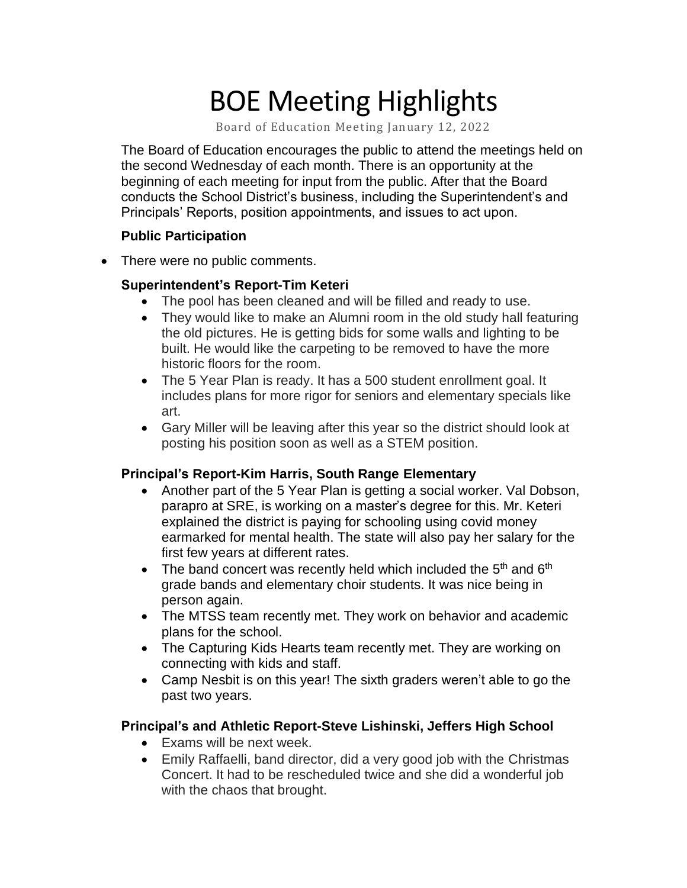# BOE Meeting Highlights

Board of Education Meeting January 12, 2022

 The Board of Education encourages the public to attend the meetings held on the second Wednesday of each month. There is an opportunity at the beginning of each meeting for input from the public. After that the Board conducts the School District's business, including the Superintendent's and Principals' Reports, position appointments, and issues to act upon.

### **Public Participation**

• There were no public comments.

### **Superintendent's Report-Tim Keteri**

- The pool has been cleaned and will be filled and ready to use.
- • They would like to make an Alumni room in the old study hall featuring the old pictures. He is getting bids for some walls and lighting to be built. He would like the carpeting to be removed to have the more historic floors for the room.
- • The 5 Year Plan is ready. It has a 500 student enrollment goal. It includes plans for more rigor for seniors and elementary specials like art.
- • Gary Miller will be leaving after this year so the district should look at posting his position soon as well as a STEM position.

# **Principal's Report-Kim Harris, South Range Elementary**

- Another part of the 5 Year Plan is getting a social worker. Val Dobson, parapro at SRE, is working on a master's degree for this. Mr. Keteri explained the district is paying for schooling using covid money earmarked for mental health. The state will also pay her salary for the first few years at different rates.
- The band concert was recently held which included the  $5<sup>th</sup>$  and  $6<sup>th</sup>$ grade bands and elementary choir students. It was nice being in person again.
- The MTSS team recently met. They work on behavior and academic plans for the school.
- The Capturing Kids Hearts team recently met. They are working on connecting with kids and staff.
- Camp Nesbit is on this year! The sixth graders weren't able to go the past two years.

# **Principal's and Athletic Report-Steve Lishinski, Jeffers High School**

- Exams will be next week.
- • Emily Raffaelli, band director, did a very good job with the Christmas Concert. It had to be rescheduled twice and she did a wonderful job with the chaos that brought.